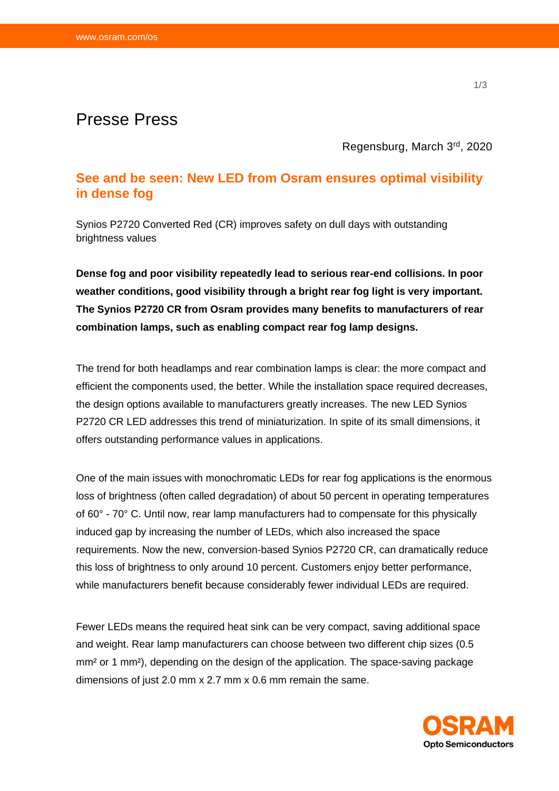# Presse Press

Regensburg, March 3 rd, 2020

## **See and be seen: New LED from Osram ensures optimal visibility in dense fog**

Synios P2720 Converted Red (CR) improves safety on dull days with outstanding brightness values

**Dense fog and poor visibility repeatedly lead to serious rear-end collisions. In poor weather conditions, good visibility through a bright rear fog light is very important. The Synios P2720 CR from Osram provides many benefits to manufacturers of rear combination lamps, such as enabling compact rear fog lamp designs.** 

The trend for both headlamps and rear combination lamps is clear: the more compact and efficient the components used, the better. While the installation space required decreases, the design options available to manufacturers greatly increases. The new LED Synios P2720 CR LED addresses this trend of miniaturization. In spite of its small dimensions, it offers outstanding performance values in applications.

One of the main issues with monochromatic LEDs for rear fog applications is the enormous loss of brightness (often called degradation) of about 50 percent in operating temperatures of 60° - 70° C. Until now, rear lamp manufacturers had to compensate for this physically induced gap by increasing the number of LEDs, which also increased the space requirements. Now the new, conversion-based Synios P2720 CR, can dramatically reduce this loss of brightness to only around 10 percent. Customers enjoy better performance, while manufacturers benefit because considerably fewer individual LEDs are required.

Fewer LEDs means the required heat sink can be very compact, saving additional space and weight. Rear lamp manufacturers can choose between two different chip sizes (0.5 mm² or 1 mm²), depending on the design of the application. The space-saving package dimensions of just 2.0 mm x 2.7 mm x 0.6 mm remain the same.

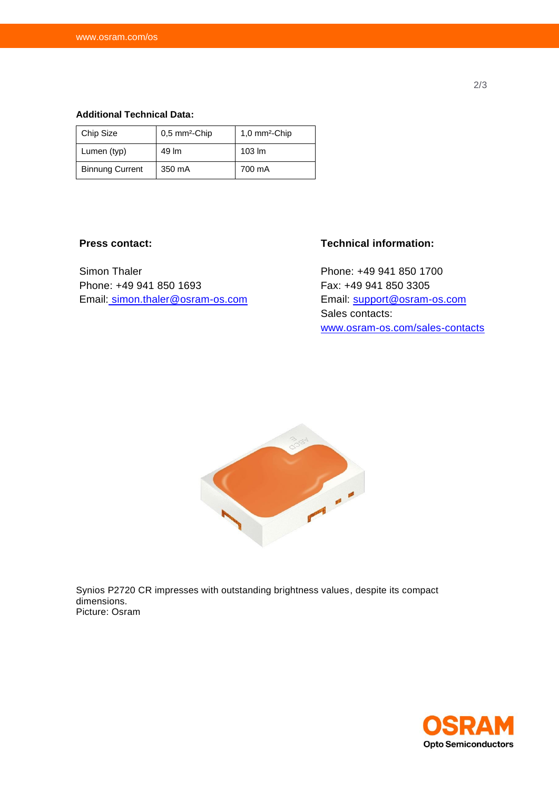#### **Additional Technical Data:**

| Chip Size              | 0,5 mm <sup>2</sup> -Chip | 1,0 mm <sup>2</sup> -Chip |
|------------------------|---------------------------|---------------------------|
| Lumen (typ)            | 49 lm                     | $103 \, \text{Im}$        |
| <b>Binnung Current</b> | 350 mA                    | 700 mA                    |

### **Press contact:**

Simon Thaler Phone: +49 941 850 1693 Email: [simon.thaler@osram-os.com](mailto:simon.thaler@osram-os.com)

## **Technical information:**

Phone: +49 941 850 1700 Fax: +49 941 850 3305 Email: [support@osram-os.com](mailto:support@osram-os.com) Sales contacts: [www.osram-os.com/sales-contacts](http://www.osram-os.com/sales-contacts)



Synios P2720 CR impresses with outstanding brightness values, despite its compact dimensions. Picture: Osram



2/3